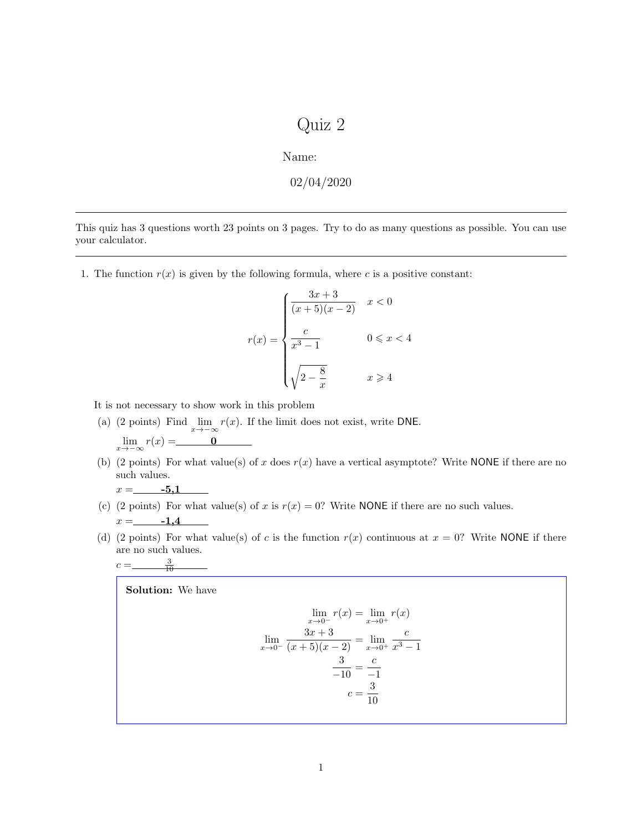## Quiz 2

Name:

$$
02/04/2020
$$

This quiz has 3 questions worth 23 points on 3 pages. Try to do as many questions as possible. You can use your calculator.

1. The function  $r(x)$  is given by the following formula, where  $c$  is a positive constant:

$$
r(x) = \begin{cases} \frac{3x+3}{(x+5)(x-2)} & x < 0\\ \frac{c}{x^3-1} & 0 \le x < 4\\ \sqrt{2-\frac{8}{x}} & x \ge 4 \end{cases}
$$

It is not necessary to show work in this problem

- (a) (2 points) Find  $\lim_{x\to -\infty} r(x)$ . If the limit does not exist, write DNE.  $\lim_{x \to -\infty} r(x) =$  <u>0</u>
- (b) (2 points) For what value(s) of  $x$  does  $r(x)$  have a vertical asymptote? Write NONE if there are no such values.

$$
x = \underline{\qquad \qquad -5,1}
$$

- (c) (2 points) For what value(s) of *x* is  $r(x) = 0$ ? Write NONE if there are no such values.  $x =$ —1,4
- (d) (2 points) For what value(s) of *c* is the function  $r(x)$  continuous at  $x = 0$ ? Write NONE if there are no such values.  $c = \_$  $\frac{3}{10}$

Solution: We have

$$
\lim_{x \to 0^{-}} r(x) = \lim_{x \to 0^{+}} r(x)
$$

$$
\lim_{x \to 0^{-}} \frac{3x + 3}{(x + 5)(x - 2)} = \lim_{x \to 0^{+}} \frac{c}{x^3 - 1}
$$

$$
\frac{3}{-10} = \frac{c}{-1}
$$

$$
c = \frac{3}{10}
$$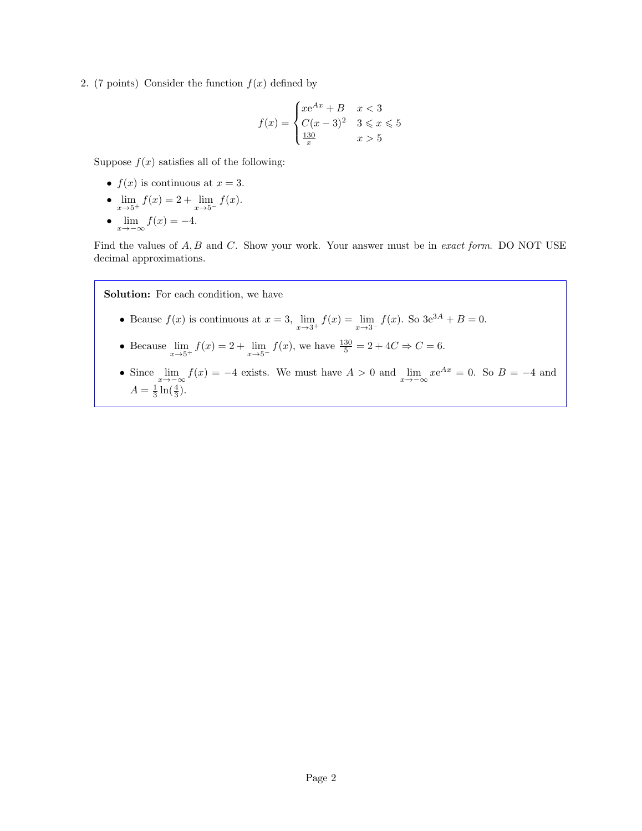2. (7 points) Consider the function  $f(x)$  defined by

$$
f(x) = \begin{cases} xe^{Ax} + B & x < 3\\ C(x - 3)^2 & 3 \le x \le 5\\ \frac{130}{x} & x > 5 \end{cases}
$$

Suppose  $f(x)$  satisfies all of the following:

- $f(x)$  is continuous at  $x = 3$ .
- $\lim_{x \to 5^+} f(x) = 2 + \lim_{x \to 5^-} f(x)$ .
- $\lim_{x \to -\infty} f(x) = -4.$

Find the values of *A, B* and *C*. Show your work. Your answer must be in *exact form*. DO NOT USE decimal approximations.

Solution: For each condition, we have

- Beause  $f(x)$  is continuous at  $x = 3$ ,  $\lim_{x \to 3^+} f(x) = \lim_{x \to 3^-} f(x)$ . So  $3e^{3A} + B = 0$ .
- Because  $\lim_{x \to 5^+} f(x) = 2 + \lim_{x \to 5^-} f(x)$ , we have  $\frac{130}{5} = 2 + 4C \Rightarrow C = 6$ .
- Since  $\lim_{x\to-\infty} f(x) = -4$  exists. We must have  $A > 0$  and  $\lim_{x\to-\infty} xe^{Ax} = 0$ . So  $B = -4$  and  $A = \frac{1}{3} \ln(\frac{4}{3}).$